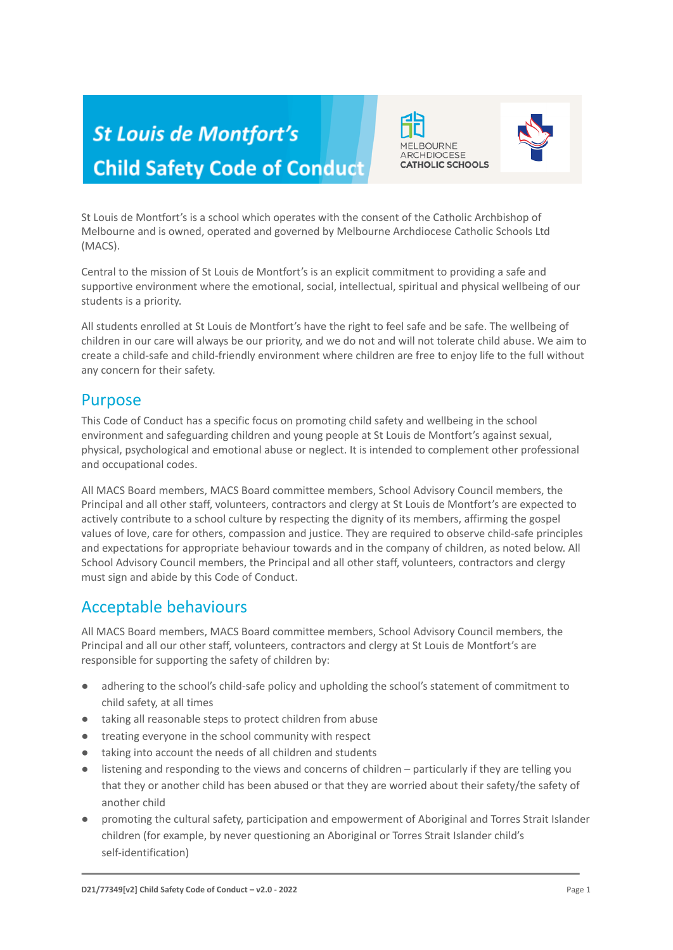# **St Louis de Montfort's Child Safety Code of Conduct**





St Louis de Montfort's is a school which operates with the consent of the Catholic Archbishop of Melbourne and is owned, operated and governed by Melbourne Archdiocese Catholic Schools Ltd (MACS).

Central to the mission of St Louis de Montfort's is an explicit commitment to providing a safe and supportive environment where the emotional, social, intellectual, spiritual and physical wellbeing of our students is a priority.

All students enrolled at St Louis de Montfort's have the right to feel safe and be safe. The wellbeing of children in our care will always be our priority, and we do not and will not tolerate child abuse. We aim to create a child-safe and child-friendly environment where children are free to enjoy life to the full without any concern for their safety.

## Purpose

This Code of Conduct has a specific focus on promoting child safety and wellbeing in the school environment and safeguarding children and young people at St Louis de Montfort's against sexual, physical, psychological and emotional abuse or neglect. It is intended to complement other professional and occupational codes.

All MACS Board members, MACS Board committee members, School Advisory Council members, the Principal and all other staff, volunteers, contractors and clergy at St Louis de Montfort's are expected to actively contribute to a school culture by respecting the dignity of its members, affirming the gospel values of love, care for others, compassion and justice. They are required to observe child-safe principles and expectations for appropriate behaviour towards and in the company of children, as noted below. All School Advisory Council members, the Principal and all other staff, volunteers, contractors and clergy must sign and abide by this Code of Conduct.

## Acceptable behaviours

All MACS Board members, MACS Board committee members, School Advisory Council members, the Principal and all our other staff, volunteers, contractors and clergy at St Louis de Montfort's are responsible for supporting the safety of children by:

- adhering to the school's child-safe policy and upholding the school's statement of commitment to child safety, at all times
- taking all reasonable steps to protect children from abuse
- treating everyone in the school community with respect
- taking into account the needs of all children and students
- listening and responding to the views and concerns of children particularly if they are telling you that they or another child has been abused or that they are worried about their safety/the safety of another child
- promoting the cultural safety, participation and empowerment of Aboriginal and Torres Strait Islander children (for example, by never questioning an Aboriginal or Torres Strait Islander child's self-identification)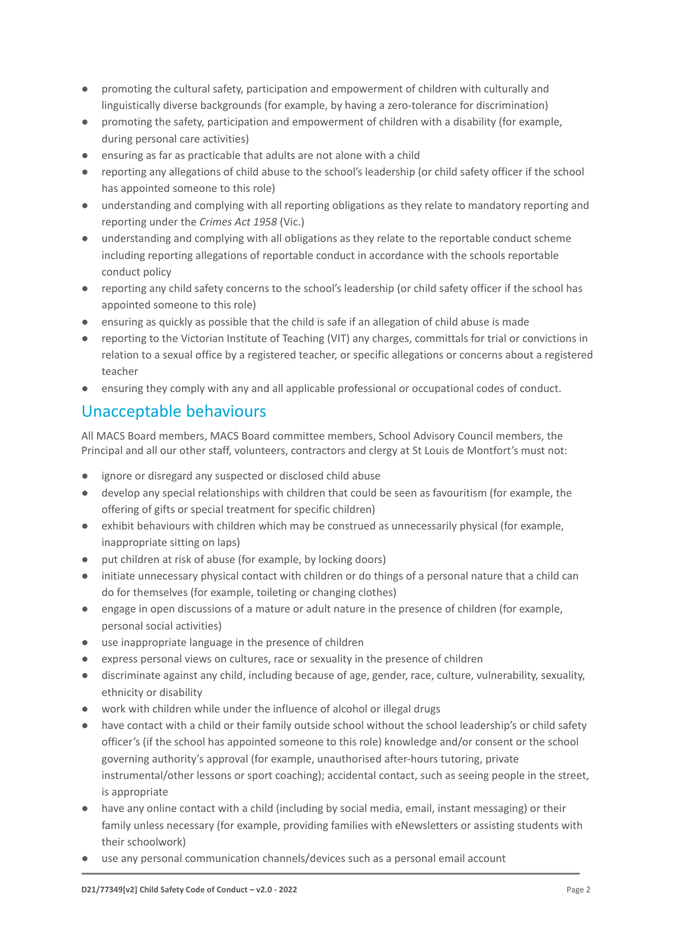- promoting the cultural safety, participation and empowerment of children with culturally and linguistically diverse backgrounds (for example, by having a zero-tolerance for discrimination)
- promoting the safety, participation and empowerment of children with a disability (for example, during personal care activities)
- ensuring as far as practicable that adults are not alone with a child
- reporting any allegations of child abuse to the school's leadership (or child safety officer if the school has appointed someone to this role)
- understanding and complying with all reporting obligations as they relate to mandatory reporting and reporting under the *Crimes Act 1958* (Vic.)
- understanding and complying with all obligations as they relate to the reportable conduct scheme including reporting allegations of reportable conduct in accordance with the schools reportable conduct policy
- reporting any child safety concerns to the school's leadership (or child safety officer if the school has appointed someone to this role)
- ensuring as quickly as possible that the child is safe if an allegation of child abuse is made
- reporting to the Victorian Institute of Teaching (VIT) any charges, committals for trial or convictions in relation to a sexual office by a registered teacher, or specific allegations or concerns about a registered teacher
- ensuring they comply with any and all applicable professional or occupational codes of conduct.

## Unacceptable behaviours

All MACS Board members, MACS Board committee members, School Advisory Council members, the Principal and all our other staff, volunteers, contractors and clergy at St Louis de Montfort's must not:

- ignore or disregard any suspected or disclosed child abuse
- develop any special relationships with children that could be seen as favouritism (for example, the offering of gifts or special treatment for specific children)
- exhibit behaviours with children which may be construed as unnecessarily physical (for example, inappropriate sitting on laps)
- put children at risk of abuse (for example, by locking doors)
- initiate unnecessary physical contact with children or do things of a personal nature that a child can do for themselves (for example, toileting or changing clothes)
- engage in open discussions of a mature or adult nature in the presence of children (for example, personal social activities)
- use inappropriate language in the presence of children
- express personal views on cultures, race or sexuality in the presence of children
- discriminate against any child, including because of age, gender, race, culture, vulnerability, sexuality, ethnicity or disability
- work with children while under the influence of alcohol or illegal drugs
- have contact with a child or their family outside school without the school leadership's or child safety officer's (if the school has appointed someone to this role) knowledge and/or consent or the school governing authority's approval (for example, unauthorised after-hours tutoring, private instrumental/other lessons or sport coaching); accidental contact, such as seeing people in the street, is appropriate
- have any online contact with a child (including by social media, email, instant messaging) or their family unless necessary (for example, providing families with eNewsletters or assisting students with their schoolwork)
- use any personal communication channels/devices such as a personal email account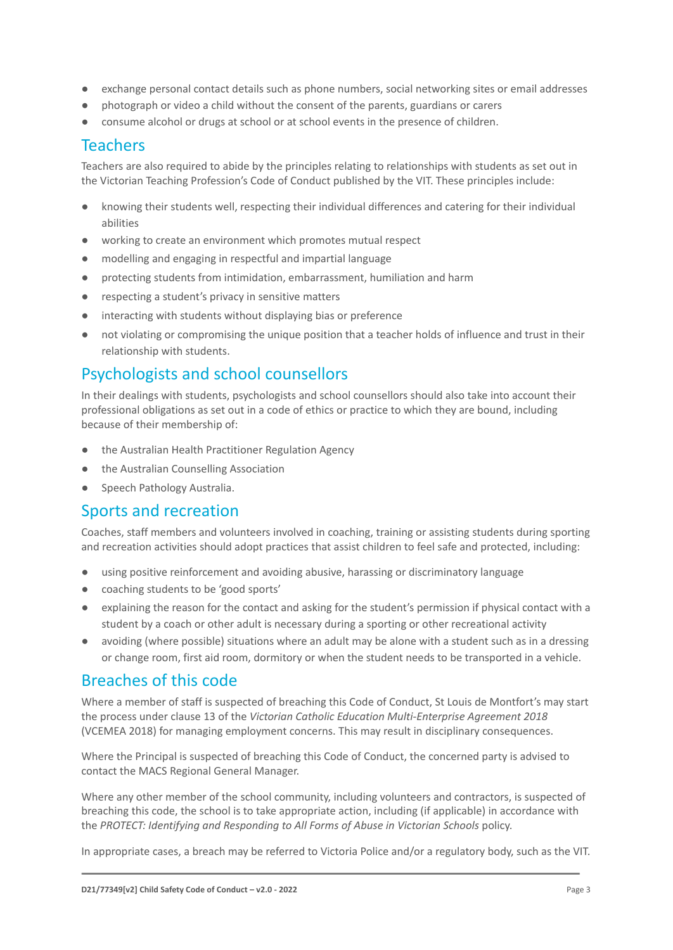- exchange personal contact details such as phone numbers, social networking sites or email addresses
- photograph or video a child without the consent of the parents, guardians or carers
- consume alcohol or drugs at school or at school events in the presence of children.

### Teachers

Teachers are also required to abide by the principles relating to relationships with students as set out in the Victorian Teaching Profession's Code of Conduct published by the VIT. These principles include:

- knowing their students well, respecting their individual differences and catering for their individual abilities
- working to create an environment which promotes mutual respect
- modelling and engaging in respectful and impartial language
- protecting students from intimidation, embarrassment, humiliation and harm
- respecting a student's privacy in sensitive matters
- interacting with students without displaying bias or preference
- not violating or compromising the unique position that a teacher holds of influence and trust in their relationship with students.

## Psychologists and school counsellors

In their dealings with students, psychologists and school counsellors should also take into account their professional obligations as set out in a code of ethics or practice to which they are bound, including because of their membership of:

- the Australian Health Practitioner Regulation Agency
- the Australian Counselling Association
- Speech Pathology Australia.

#### Sports and recreation

Coaches, staff members and volunteers involved in coaching, training or assisting students during sporting and recreation activities should adopt practices that assist children to feel safe and protected, including:

- using positive reinforcement and avoiding abusive, harassing or discriminatory language
- coaching students to be 'good sports'
- explaining the reason for the contact and asking for the student's permission if physical contact with a student by a coach or other adult is necessary during a sporting or other recreational activity
- avoiding (where possible) situations where an adult may be alone with a student such as in a dressing or change room, first aid room, dormitory or when the student needs to be transported in a vehicle.

### Breaches of this code

Where a member of staff is suspected of breaching this Code of Conduct, St Louis de Montfort's may start the process under clause 13 of the *Victorian Catholic Education Multi-Enterprise Agreement 2018* (VCEMEA 2018) for managing employment concerns. This may result in disciplinary consequences.

Where the Principal is suspected of breaching this Code of Conduct, the concerned party is advised to contact the MACS Regional General Manager.

Where any other member of the school community, including volunteers and contractors, is suspected of breaching this code, the school is to take appropriate action, including (if applicable) in accordance with the *PROTECT: Identifying and Responding to All Forms of Abuse in Victorian Schools* policy.

In appropriate cases, a breach may be referred to Victoria Police and/or a regulatory body, such as the VIT.